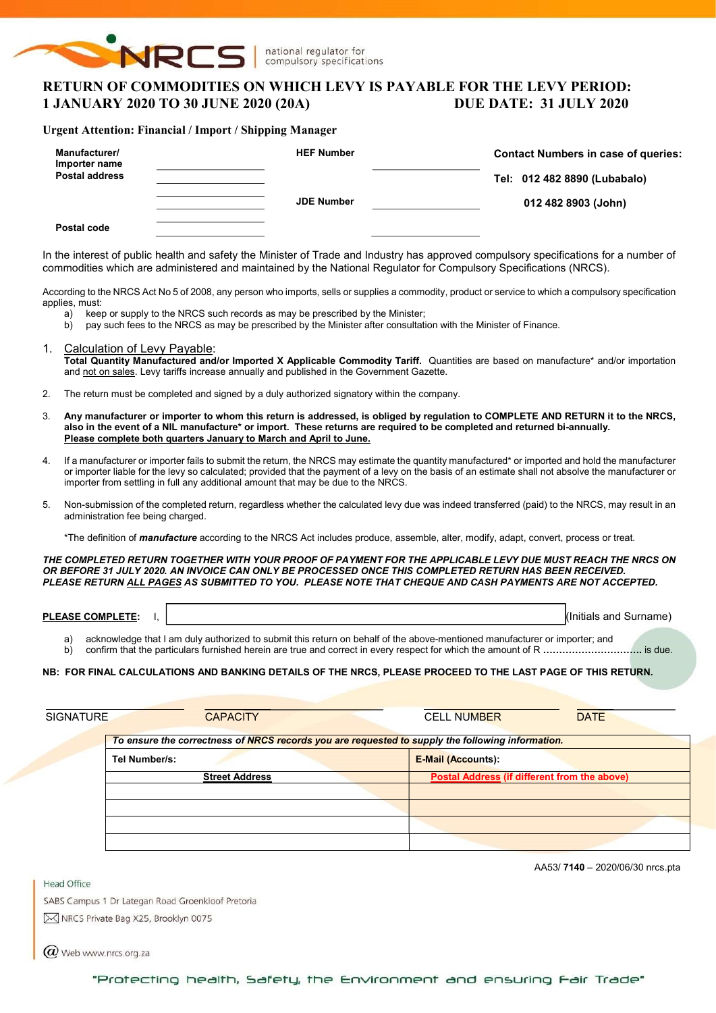

national regulator for compulsory specifications

## RETURN OF COMMODITIES ON WHICH LEVY IS PAYABLE FOR THE LEVY PERIOD: 1 JANUARY 2020 TO 30 JUNE 2020 (20A) DUE DATE: 31 JULY 2020

### Urgent Attention: Financial / Import / Shipping Manager

| Manufacturer/<br>Importer name<br><b>Postal address</b> | <b>HEF Number</b> | <b>Contact Numbers in case of queries:</b><br>Tel: 012 482 8890 (Lubabalo) |  |  |  |  |
|---------------------------------------------------------|-------------------|----------------------------------------------------------------------------|--|--|--|--|
|                                                         | <b>JDE Number</b> | 012 482 8903 (John)                                                        |  |  |  |  |
| Postal code                                             |                   |                                                                            |  |  |  |  |

In the interest of public health and safety the Minister of Trade and Industry has approved compulsory specifications for a number of commodities which are administered and maintained by the National Regulator for Compulsory Specifications (NRCS).

According to the NRCS Act No 5 of 2008, any person who imports, sells or supplies a commodity, product or service to which a compulsory specification applies, must:

- a) keep or supply to the NRCS such records as may be prescribed by the Minister;
- b) pay such fees to the NRCS as may be prescribed by the Minister after consultation with the Minister of Finance.
- 1. Calculation of Levy Payable: Total Quantity Manufactured and/or Imported X Applicable Commodity Tariff. Quantities are based on manufacture\* and/or importation and not on sales. Levy tariffs increase annually and published in the Government Gazette.
- 2. The return must be completed and signed by a duly authorized signatory within the company.
- 3. Any manufacturer or importer to whom this return is addressed, is obliged by regulation to COMPLETE AND RETURN it to the NRCS, also in the event of a NIL manufacture\* or import. These returns are required to be completed and returned bi-annually. Please complete both quarters January to March and April to June.
- 4. If a manufacturer or importer fails to submit the return, the NRCS may estimate the quantity manufactured\* or imported and hold the manufacturer or importer liable for the levy so calculated; provided that the payment of a levy on the basis of an estimate shall not absolve the manufacturer or importer from settling in full any additional amount that may be due to the NRCS.
- 5. Non-submission of the completed return, regardless whether the calculated levy due was indeed transferred (paid) to the NRCS, may result in an administration fee being charged.

\*The definition of *manufacture* according to the NRCS Act includes produce, assemble, alter, modify, adapt, convert, process or treat.

THE COMPLETED RETURN TOGETHER WITH YOUR PROOF OF PAYMENT FOR THE APPLICABLE LEVY DUE MUST REACH THE NRCS ON OR BEFORE 31 JULY 2020. AN INVOICE CAN ONLY BE PROCESSED ONCE THIS COMPLETED RETURN HAS BEEN RECEIVED. PLEASE RETURN ALL PAGES AS SUBMITTED TO YOU. PLEASE NOTE THAT CHEQUE AND CASH PAYMENTS ARE NOT ACCEPTED.

PLEASE COMPLETE: I,  $\vert$ 

- a) acknowledge that I am duly authorized to submit this return on behalf of the above-mentioned manufacturer or importer; and
- b) confirm that the particulars furnished herein are true and correct in every respect for which the amount of R ………………………………… is due.

### NB: FOR FINAL CALCULATIONS AND BANKING DETAILS OF THE NRCS, PLEASE PROCEED TO THE LAST PAGE OF THIS RETURN.

| <b>SIGNATURE</b> | <b>CAPACITY</b>                                                                                  | <b>CELL NUMBER</b><br><b>DATE</b>                   |
|------------------|--------------------------------------------------------------------------------------------------|-----------------------------------------------------|
|                  | To ensure the correctness of NRCS records you are requested to supply the following information. |                                                     |
|                  | Tel Number/s:                                                                                    | <b>E-Mail (Accounts):</b>                           |
|                  | <b>Street Address</b>                                                                            | <b>Postal Address (if different from the above)</b> |
|                  |                                                                                                  |                                                     |
|                  |                                                                                                  |                                                     |
|                  |                                                                                                  |                                                     |
|                  |                                                                                                  |                                                     |

Head Office

AA53/ 7140 – 2020/06/30 nrcs.pta

SABS Campus 1 Dr Lategan Road Groenkloof Pretoria M NRCS Private Bag X25, Brooklyn 0075

 $\omega$  Web www.nrcs.org.za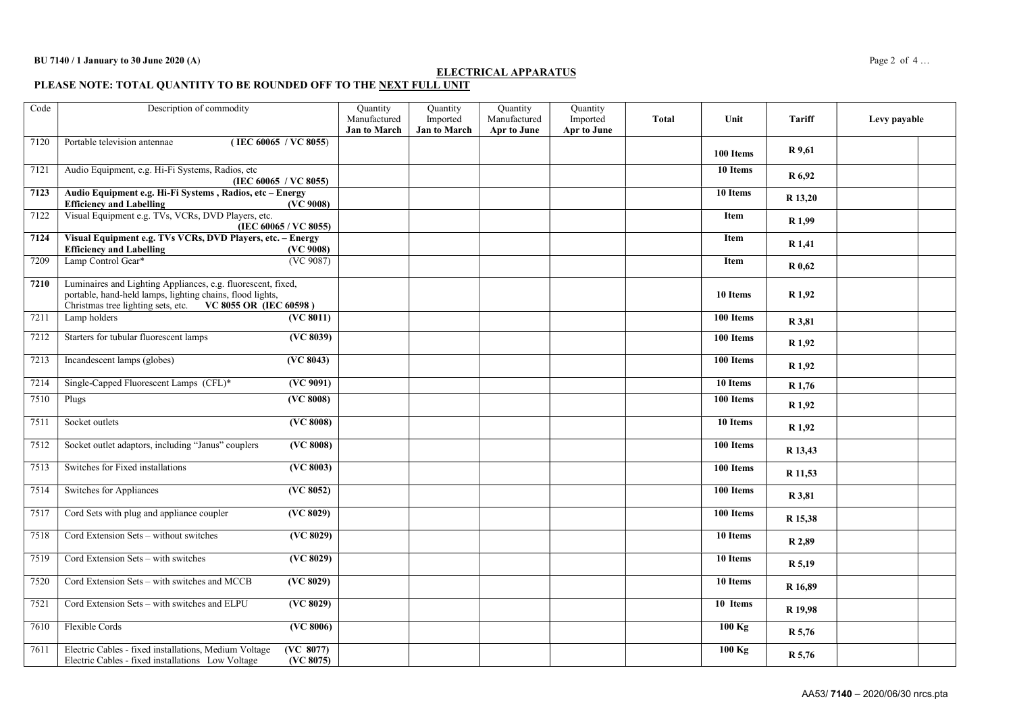### ELECTRICAL APPARATUS

PLEASE NOTE: TOTAL QUANTITY TO BE ROUNDED OFF TO THE <u>NEXT FULL UNIT</u>

| Code | Description of commodity                                                                                                                                                               |                                | Quantity<br>Manufactured | Quantity<br>Imported | Quantity<br>Manufactured | Quantity<br>Imported | Total | Unit      | <b>Tariff</b>      | Levy payable |  |
|------|----------------------------------------------------------------------------------------------------------------------------------------------------------------------------------------|--------------------------------|--------------------------|----------------------|--------------------------|----------------------|-------|-----------|--------------------|--------------|--|
|      |                                                                                                                                                                                        |                                | <b>Jan to March</b>      | Jan to March         | <b>Apr to June</b>       | Apr to June          |       |           |                    |              |  |
| 7120 | Portable television antennae                                                                                                                                                           | (IEC 60065 / VC 8055)          |                          |                      |                          |                      |       | 100 Items | R 9,61             |              |  |
| 7121 | Audio Equipment, e.g. Hi-Fi Systems, Radios, etc                                                                                                                                       | (IEC 60065 / VC 8055)          |                          |                      |                          |                      |       | 10 Items  | R 6,92             |              |  |
| 7123 | Audio Equipment e.g. Hi-Fi Systems, Radios, etc - Energy<br><b>Efficiency and Labelling</b>                                                                                            | (VC 9008)                      |                          |                      |                          |                      |       | 10 Items  | R 13,20            |              |  |
| 7122 | Visual Equipment e.g. TVs, VCRs, DVD Players, etc.                                                                                                                                     | (IEC 60065 / VC 8055)          |                          |                      |                          |                      |       | Item      | R <sub>1,99</sub>  |              |  |
| 7124 | Visual Equipment e.g. TVs VCRs, DVD Players, etc. - Energy<br><b>Efficiency and Labelling</b>                                                                                          | (VC 9008)                      |                          |                      |                          |                      |       | Item      | R 1,41             |              |  |
| 7209 | Lamp Control Gear*                                                                                                                                                                     | (VC 9087)                      |                          |                      |                          |                      |       | Item      | R 0.62             |              |  |
| 7210 | Luminaires and Lighting Appliances, e.g. fluorescent, fixed,<br>portable, hand-held lamps, lighting chains, flood lights,<br>Christmas tree lighting sets, etc. VC 8055 OR (IEC 60598) |                                |                          |                      |                          |                      |       | 10 Items  | R 1,92             |              |  |
| 7211 | Lamp holders                                                                                                                                                                           | (VC 8011)                      |                          |                      |                          |                      |       | 100 Items | R 3,81             |              |  |
| 7212 | Starters for tubular fluorescent lamps                                                                                                                                                 | ( <b>VC</b> 8039)              |                          |                      |                          |                      |       | 100 Items | R 1,92             |              |  |
| 7213 | Incandescent lamps (globes)                                                                                                                                                            | (VC 8043)                      |                          |                      |                          |                      |       | 100 Items | R <sub>1,92</sub>  |              |  |
| 7214 | Single-Capped Fluorescent Lamps (CFL)*                                                                                                                                                 | (VC 9091)                      |                          |                      |                          |                      |       | 10 Items  | R 1,76             |              |  |
| 7510 | Plugs                                                                                                                                                                                  | $\overline{\text{ (VC 8008)}}$ |                          |                      |                          |                      |       | 100 Items | R 1,92             |              |  |
| 7511 | Socket outlets                                                                                                                                                                         | (VC 8008)                      |                          |                      |                          |                      |       | 10 Items  | R <sub>1,92</sub>  |              |  |
| 7512 | Socket outlet adaptors, including "Janus" couplers                                                                                                                                     | (VC 8008)                      |                          |                      |                          |                      |       | 100 Items | R 13,43            |              |  |
| 7513 | Switches for Fixed installations                                                                                                                                                       | (VC 8003)                      |                          |                      |                          |                      |       | 100 Items | R 11,53            |              |  |
| 7514 | <b>Switches for Appliances</b>                                                                                                                                                         | (VC 8052)                      |                          |                      |                          |                      |       | 100 Items | R 3,81             |              |  |
| 7517 | Cord Sets with plug and appliance coupler                                                                                                                                              | (VC 8029)                      |                          |                      |                          |                      |       | 100 Items | R 15,38            |              |  |
| 7518 | Cord Extension Sets - without switches                                                                                                                                                 | (VC 8029)                      |                          |                      |                          |                      |       | 10 Items  | R 2,89             |              |  |
| 7519 | Cord Extension Sets - with switches                                                                                                                                                    | (VC 8029)                      |                          |                      |                          |                      |       | 10 Items  | R 5,19             |              |  |
| 7520 | Cord Extension Sets - with switches and MCCB                                                                                                                                           | (VC 8029)                      |                          |                      |                          |                      |       | 10 Items  | R <sub>16.89</sub> |              |  |
| 7521 | Cord Extension Sets - with switches and ELPU                                                                                                                                           | (VC 8029)                      |                          |                      |                          |                      |       | 10 Items  | R 19,98            |              |  |
| 7610 | Flexible Cords                                                                                                                                                                         | ( <b>VC</b> 8006)              |                          |                      |                          |                      |       | 100 Kg    | R 5,76             |              |  |
| 7611 | Electric Cables - fixed installations, Medium Voltage<br>Electric Cables - fixed installations Low Voltage                                                                             | (VC 8077)<br>(VC 8075)         |                          |                      |                          |                      |       | 100 Kg    | R 5,76             |              |  |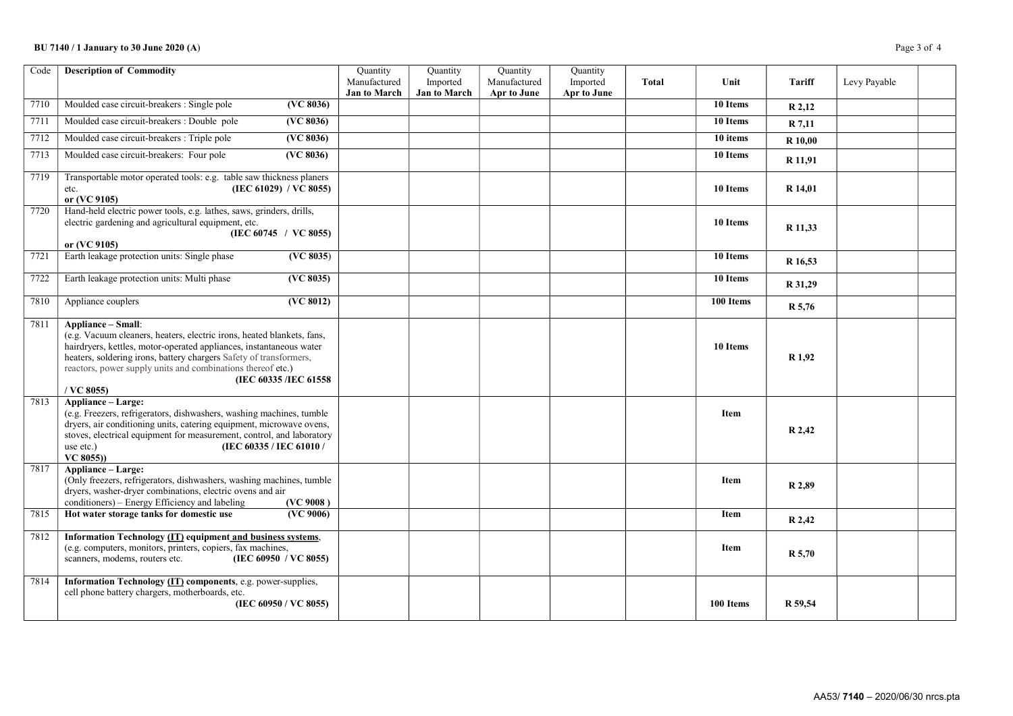### BU 7140 / 1 January to 30 June 2020 (A) Page 3 of 4

| Code | <b>Description of Commodity</b>                                                                                                                                                                                                                                                                                                                   | Quantity<br>Manufactured<br><b>Jan to March</b> | Quantity<br>Imported<br><b>Jan to March</b> | Quantity<br>Manufactured<br>Apr to June | Quantity<br>Imported<br>Apr to June | <b>Total</b> | Unit                  | Tariff            | Levy Payable |  |
|------|---------------------------------------------------------------------------------------------------------------------------------------------------------------------------------------------------------------------------------------------------------------------------------------------------------------------------------------------------|-------------------------------------------------|---------------------------------------------|-----------------------------------------|-------------------------------------|--------------|-----------------------|-------------------|--------------|--|
| 7710 | Moulded case circuit-breakers : Single pole<br>(VC 8036)                                                                                                                                                                                                                                                                                          |                                                 |                                             |                                         |                                     |              | 10 Items              | R 2,12            |              |  |
| 7711 | Moulded case circuit-breakers : Double pole<br>(VC 8036)                                                                                                                                                                                                                                                                                          |                                                 |                                             |                                         |                                     |              | $\overline{10}$ Items | R 7,11            |              |  |
| 7712 | Moulded case circuit-breakers : Triple pole<br>(VC 8036)                                                                                                                                                                                                                                                                                          |                                                 |                                             |                                         |                                     |              | 10 items              | R 10,00           |              |  |
| 7713 | Moulded case circuit-breakers: Four pole<br>(VC 8036)                                                                                                                                                                                                                                                                                             |                                                 |                                             |                                         |                                     |              | 10 Items              | R 11,91           |              |  |
| 7719 | Transportable motor operated tools: e.g. table saw thickness planers<br>(IEC 61029) / VC 8055)<br>etc.<br>or (VC 9105)                                                                                                                                                                                                                            |                                                 |                                             |                                         |                                     |              | 10 Items              | R 14,01           |              |  |
| 7720 | Hand-held electric power tools, e.g. lathes, saws, grinders, drills,<br>electric gardening and agricultural equipment, etc.<br>(IEC 60745 / VC 8055)<br>or (VC 9105)                                                                                                                                                                              |                                                 |                                             |                                         |                                     |              | 10 Items              | R 11,33           |              |  |
| 7721 | Earth leakage protection units: Single phase<br>(VC 8035)                                                                                                                                                                                                                                                                                         |                                                 |                                             |                                         |                                     |              | 10 Items              | R 16,53           |              |  |
| 7722 | Earth leakage protection units: Multi phase<br>( <b>VC</b> 8035)                                                                                                                                                                                                                                                                                  |                                                 |                                             |                                         |                                     |              | 10 Items              | R 31,29           |              |  |
| 7810 | (VC 8012)<br>Appliance couplers                                                                                                                                                                                                                                                                                                                   |                                                 |                                             |                                         |                                     |              | 100 Items             | R 5,76            |              |  |
| 7811 | Appliance - Small:<br>(e.g. Vacuum cleaners, heaters, electric irons, heated blankets, fans,<br>hairdryers, kettles, motor-operated appliances, instantaneous water<br>heaters, soldering irons, battery chargers Safety of transformers,<br>reactors, power supply units and combinations thereof etc.)<br>(IEC 60335 /IEC 61558<br>$/$ VC 8055) |                                                 |                                             |                                         |                                     |              | 10 Items              | R <sub>1,92</sub> |              |  |
| 7813 | Appliance - Large:<br>(e.g. Freezers, refrigerators, dishwashers, washing machines, tumble<br>dryers, air conditioning units, catering equipment, microwave ovens,<br>stoves, electrical equipment for measurement, control, and laboratory<br>(IEC 60335 / IEC 61010 /<br>use etc.)<br>VC 8055))                                                 |                                                 |                                             |                                         |                                     |              | <b>Item</b>           | R 2,42            |              |  |
| 7817 | Appliance - Large:<br>(Only freezers, refrigerators, dishwashers, washing machines, tumble<br>dryers, washer-dryer combinations, electric ovens and air<br>conditioners) – Energy Efficiency and labeling<br>(VC 9008)                                                                                                                            |                                                 |                                             |                                         |                                     |              | <b>Item</b>           | R 2,89            |              |  |
| 7815 | Hot water storage tanks for domestic use<br>(VC 9006)                                                                                                                                                                                                                                                                                             |                                                 |                                             |                                         |                                     |              | Item                  | R 2,42            |              |  |
| 7812 | Information Technology (IT) equipment and business systems,<br>(e.g. computers, monitors, printers, copiers, fax machines,<br>(IEC 60950 / VC 8055)<br>scanners, modems, routers etc.                                                                                                                                                             |                                                 |                                             |                                         |                                     |              | <b>Item</b>           | $R$ 5,70          |              |  |
| 7814 | Information Technology (IT) components, e.g. power-supplies,<br>cell phone battery chargers, motherboards, etc.<br>(IEC 60950 / VC 8055)                                                                                                                                                                                                          |                                                 |                                             |                                         |                                     |              | 100 Items             | R 59,54           |              |  |